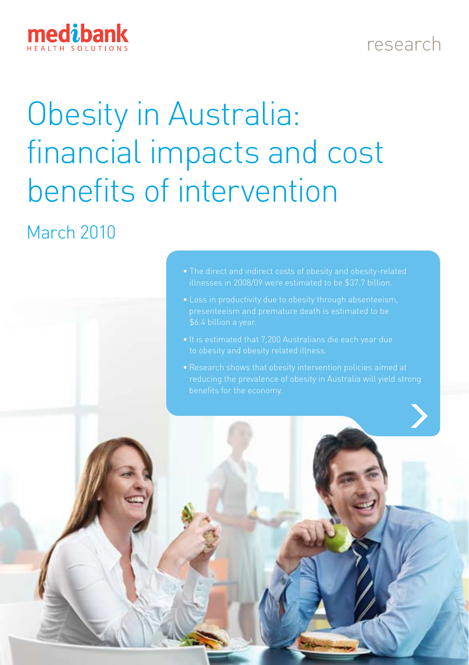

#### research

# Obesity in Australia: financial impacts and cost benefits of intervention

#### March 2010



- 
- 
-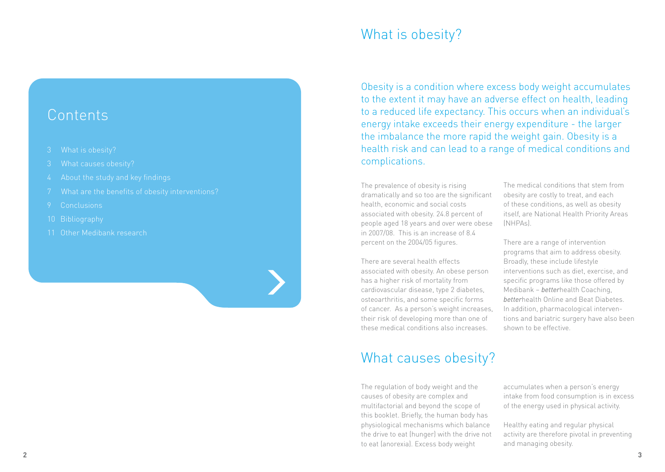#### **Contents**

- 3 What is obesity?
- 
- 4 About the study and key findings
- 7 What are the benefits of obesity interventions?
- 
- 10 Bibliography
- 11 Other Medibank research

# What is obesity?

Obesity is a condition where excess body weight accumulates to the extent it may have an adverse effect on health, leading to a reduced life expectancy. This occurs when an individual's energy intake exceeds their energy expenditure - the larger the imbalance the more rapid the weight gain. Obesity is a health risk and can lead to a range of medical conditions and complications.

The prevalence of obesity is rising dramatically and so too are the significant health, economic and social costs associated with obesity. 24.8 percent of people aged 18 years and over were obese in 2007/08. This is an increase of 8.4 percent on the 2004/05 figures.

There are several health effects associated with obesity. An obese person has a higher risk of mortality from cardiovascular disease, type 2 diabetes, osteoarthritis, and some specific forms of cancer. As a person's weight increases, their risk of developing more than one of these medical conditions also increases.

# What causes obesity?

The regulation of body weight and the causes of obesity are complex and multifactorial and beyond the scope of this booklet. Briefly, the human body has physiological mechanisms which balance the drive to eat (hunger) with the drive not to eat (anorexia). Excess body weight

The medical conditions that stem from obesity are costly to treat, and each of these conditions, as well as obesity itself, are National Health Priority Areas (NHPAs).

There are a range of intervention programs that aim to address obesity. Broadly, these include lifestyle interventions such as diet, exercise, and specific programs like those offered by Medibank – *better*health Coaching, *better*health Online and Beat Diabetes. In addition, pharmacological interventions and bariatric surgery have also been shown to be effective.

accumulates when a person's energy intake from food consumption is in excess of the energy used in physical activity.

Healthy eating and regular physical activity are therefore pivotal in preventing and managing obesity.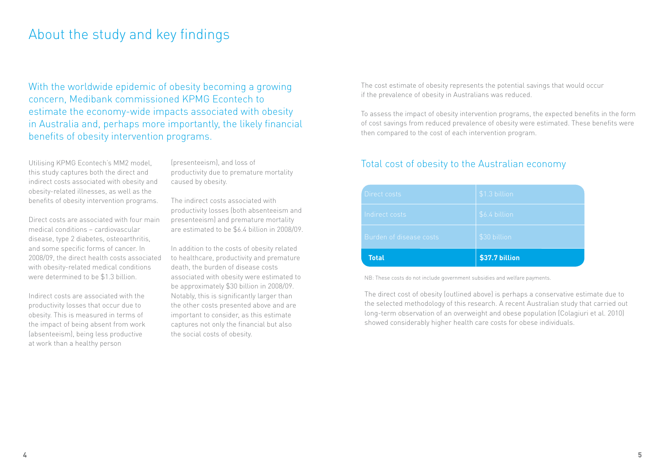#### About the study and key findings

With the worldwide epidemic of obesity becoming a growing concern, Medibank commissioned KPMG Econtech to estimate the economy-wide impacts associated with obesity in Australia and, perhaps more importantly, the likely financial benefits of obesity intervention programs.

Utilising KPMG Econtech's MM2 model, this study captures both the direct and indirect costs associated with obesity and obesity-related illnesses, as well as the benefits of obesity intervention programs.

Direct costs are associated with four main medical conditions – cardiovascular disease, type 2 diabetes, osteoarthritis, and some specific forms of cancer. In 2008/09, the direct health costs associated with obesity-related medical conditions were determined to be \$1.3 billion.

Indirect costs are associated with the productivity losses that occur due to obesity. This is measured in terms of the impact of being absent from work (absenteeism), being less productive at work than a healthy person

(presenteeism), and loss of productivity due to premature mortality caused by obesity.

The indirect costs associated with productivity losses (both absenteeism and presenteeism) and premature mortality are estimated to be \$6.4 billion in 2008/09.

In addition to the costs of obesity related to healthcare, productivity and premature death, the burden of disease costs associated with obesity were estimated to be approximately \$30 billion in 2008/09. Notably, this is significantly larger than the other costs presented above and are important to consider, as this estimate captures not only the financial but also the social costs of obesity.

The cost estimate of obesity represents the potential savings that would occur if the prevalence of obesity in Australians was reduced.

To assess the impact of obesity intervention programs, the expected benefits in the form of cost savings from reduced prevalence of obesity were estimated. These benefits were then compared to the cost of each intervention program.

#### Total cost of obesity to the Australian economy

| <b>Total</b>            | \$37.7 billion |
|-------------------------|----------------|
| Burden of disease costs | \$30 billion   |
| Indirect costs          | \$6.4 billion  |
| Direct costs            | \$1.3 billion  |

NB: These costs do not include government subsidies and welfare payments.

The direct cost of obesity (outlined above) is perhaps a conservative estimate due to the selected methodology of this research. A recent Australian study that carried out long-term observation of an overweight and obese population (Colagiuri et al. 2010) showed considerably higher health care costs for obese individuals.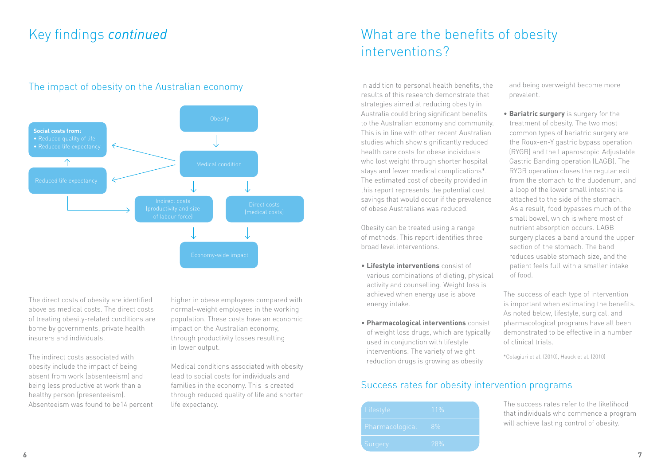#### Key findings *continued*

#### The impact of obesity on the Australian economy



The direct costs of obesity are identified above as medical costs. The direct costs of treating obesity-related conditions are borne by governments, private health insurers and individuals.

The indirect costs associated with obesity include the impact of being absent from work (absenteeism) and being less productive at work than a healthy person (presenteeism). Absenteeism was found to be14 percent higher in obese employees compared with normal-weight employees in the working population. These costs have an economic impact on the Australian economy, through productivity losses resulting in lower output.

Medical conditions associated with obesity lead to social costs for individuals and families in the economy. This is created through reduced quality of life and shorter life expectancy.

# What are the benefits of obesity interventions?

In addition to personal health benefits, the results of this research demonstrate that strategies aimed at reducing obesity in Australia could bring significant benefits to the Australian economy and community. This is in line with other recent Australian studies which show significantly reduced health care costs for obese individuals who lost weight through shorter hospital stays and fewer medical complications\*. The estimated cost of obesity provided in this report represents the potential cost savings that would occur if the prevalence of obese Australians was reduced.

Obesity can be treated using a range of methods. This report identifies three broad level interventions.

- **Lifestyle interventions** consist of various combinations of dieting, physical activity and counselling. Weight loss is achieved when energy use is above energy intake.
- **Pharmacological interventions** consist of weight loss drugs, which are typically used in conjunction with lifestyle interventions. The variety of weight reduction drugs is growing as obesity

 and being overweight become more prevalent.

• **Bariatric surgery** is surgery for the treatment of obesity. The two most common types of bariatric surgery are the Roux‑en‑Y gastric bypass operation (RYGB) and the Laparoscopic Adjustable Gastric Banding operation (LAGB). The RYGB operation closes the regular exit from the stomach to the duodenum, and a loop of the lower small intestine is attached to the side of the stomach. As a result, food bypasses much of the small bowel, which is where most of nutrient absorption occurs. LAGB surgery places a band around the upper section of the stomach. The band reduces usable stomach size, and the patient feels full with a smaller intake of food.

The success of each type of intervention is important when estimating the benefits. As noted below, lifestyle, surgical, and pharmacological programs have all been demonstrated to be effective in a number of clinical trials.

\*Colagiuri et al. (2010), Hauck et al. (2010)

#### Success rates for obesity intervention programs

| Lifestyle       | 11% |
|-----------------|-----|
| Pharmacological | 8%  |
| Surgery         | 28% |

The success rates refer to the likelihood that individuals who commence a program will achieve lasting control of obesity.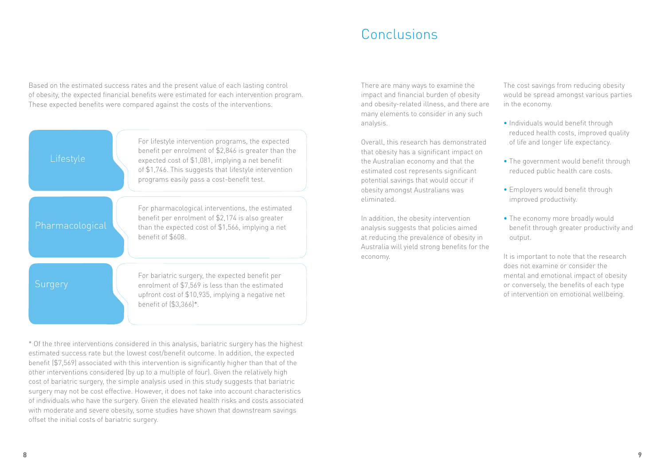## Conclusions

Based on the estimated success rates and the present value of each lasting control of obesity, the expected financial benefits were estimated for each intervention program. These expected benefits were compared against the costs of the interventions.



\* Of the three interventions considered in this analysis, bariatric surgery has the highest estimated success rate but the lowest cost/benefit outcome. In addition, the expected benefit (\$7,569) associated with this intervention is significantly higher than that of the other interventions considered (by up to a multiple of four). Given the relatively high cost of bariatric surgery, the simple analysis used in this study suggests that bariatric surgery may not be cost effective. However, it does not take into account characteristics of individuals who have the surgery. Given the elevated health risks and costs associated with moderate and severe obesity, some studies have shown that downstream savings offset the initial costs of bariatric surgery.

There are many ways to examine the impact and financial burden of obesity and obesity-related illness, and there are many elements to consider in any such analysis.

Overall, this research has demonstrated that obesity has a significant impact on the Australian economy and that the estimated cost represents significant potential savings that would occur if obesity amongst Australians was eliminated.

In addition, the obesity intervention analysis suggests that policies aimed at reducing the prevalence of obesity in Australia will yield strong benefits for the economy.

The cost savings from reducing obesity would be spread amongst various parties in the economy.

- Individuals would benefit through reduced health costs, improved quality of life and longer life expectancy.
- The government would benefit through reduced public health care costs.
- Employers would benefit through improved productivity.
- The economy more broadly would benefit through greater productivity and output.

It is important to note that the research does not examine or consider the mental and emotional impact of obesity or conversely, the benefits of each type of intervention on emotional wellbeing.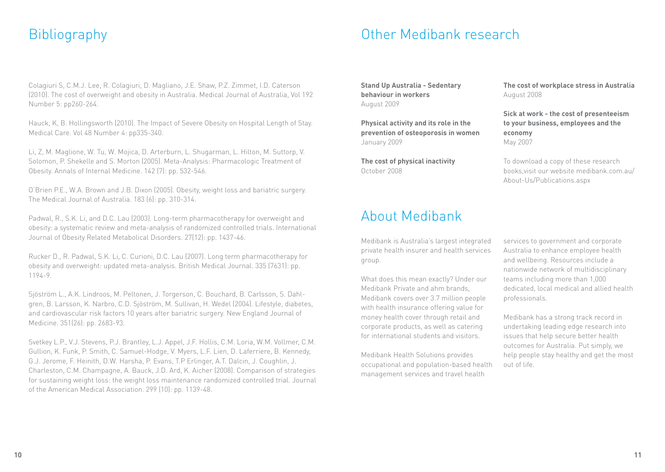#### Bibliography Other Medibank research

Colagiuri S, C.M.J. Lee, R. Colagiuri, D. Magliano, J.E. Shaw, P.Z. Zimmet, I.D. Caterson (2010). The cost of overweight and obesity in Australia. Medical Journal of Australia, Vol 192 Number 5: pp260-264.

Hauck, K, B. Hollingsworth (2010). The Impact of Severe Obesity on Hospital Length of Stay. Medical Care. Vol 48 Number 4: pp335-340.

Li, Z, M. Maglione, W. Tu, W. Mojica, D. Arterburn, L. Shugarman, L. Hilton, M. Suttorp, V. Solomon, P. Shekelle and S. Morton (2005). Meta‑Analysis: Pharmacologic Treatment of Obesity. Annals of Internal Medicine. 142 (7): pp. 532‑546.

O'Brien P.E., W.A. Brown and J.B. Dixon (2005). Obesity, weight loss and bariatric surgery. The Medical Journal of Australia. 183 (6): pp. 310‑314.

Padwal, R., S.K. Li, and D.C. Lau (2003). Long-term pharmacotherapy for overweight and obesity: a systematic review and meta‑analysis of randomized controlled trials. International Journal of Obesity Related Metabolical Disorders. 27(12): pp. 1437‑46.

Rucker D., R. Padwal, S.K. Li, C. Curioni, D.C. Lau (2007). Long term pharmacotherapy for obesity and overweight: updated meta‑analysis. British Medical Journal. 335 (7631): pp. 1194‑9.

Sjöström L., A.K. Lindroos, M. Peltonen, J. Torgerson, C. Bouchard, B. Carlsson, S. Dahlgren, B. Larsson, K. Narbro, C.D. Sjöström, M. Sullivan, H. Wedel (2004). Lifestyle, diabetes, and cardiovascular risk factors 10 years after bariatric surgery. New England Journal of Medicine. 351(26): pp. 2683‑93.

Svetkey L.P., V.J. Stevens, P.J. Brantley, L.J. Appel, J.F. Hollis, C.M. Loria, W.M. Vollmer, C.M. Gullion, K. Funk, P. Smith, C. Samuel‑Hodge, V. Myers, L.F. Lien, D. Laferriere, B. Kennedy, G.J. Jerome, F. Heinith, D.W. Harsha, P. Evans, T.P Erlinger, A.T. Dalcin, J. Coughlin, J. Charleston, C.M. Champagne, A. Bauck, J.D. Ard, K. Aicher (2008). Comparison of strategies for sustaining weight loss: the weight loss maintenance randomized controlled trial. Journal of the American Medical Association. 299 (10): pp. 1139‑48.

**Stand Up Australia - Sedentary behaviour in workers**  August 2009

**Physical activity and its role in the prevention of osteoporosis in women** January 2009

**The cost of physical inactivity** October 2008

## About Medibank

Medibank is Australia's largest integrated private health insurer and health services group.

What does this mean exactly? Under our Medibank Private and ahm brands, Medibank covers over 3.7 million people with health insurance offering value for money health cover through retail and corporate products, as well as catering for international students and visitors.

Medibank Health Solutions provides occupational and population-based health management services and travel health

**The cost of workplace stress in Australia** August 2008

**Sick at work - the cost of presenteeism to your business, employees and the economy** May 2007

To download a copy of these research books,visit our website medibank.com.au/ About-Us/Publications.aspx

services to government and corporate Australia to enhance employee health and wellbeing. Resources include a nationwide network of multidisciplinary teams including more than 1,000 dedicated, local medical and allied health professionals.

Medibank has a strong track record in undertaking leading edge research into issues that help secure better health outcomes for Australia. Put simply, we help people stay healthy and get the most out of life.